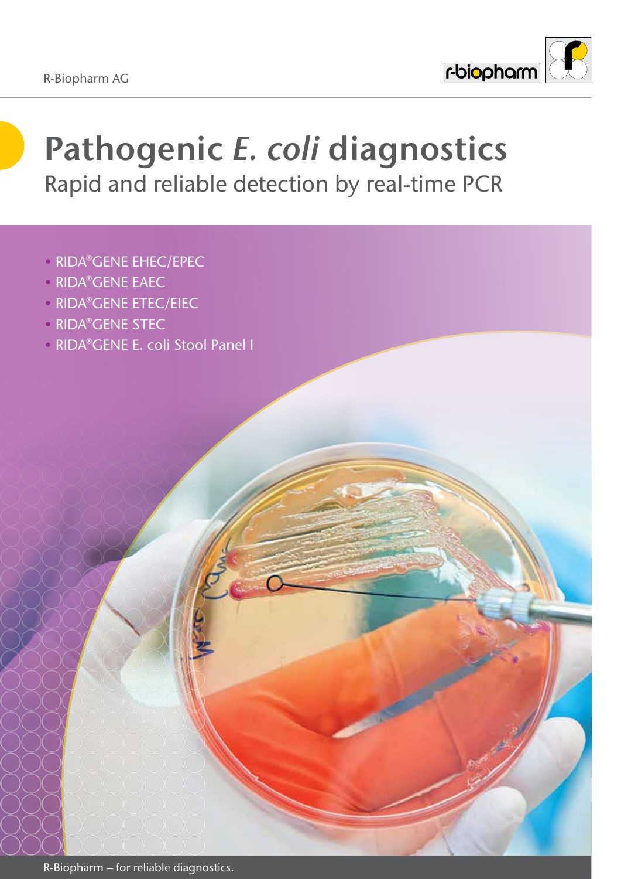

# **Pathogenic** *E. coli* **diagnostics** Rapid and reliable detection by real-time PCR

- RIDA®GENE EHEC/EPEC
- RIDA®GENE EAEC
- RIDA®GENE ETEC/EIEC
- RIDA®GENE STEC
- RIDA®GENE E. coli Stool Panel I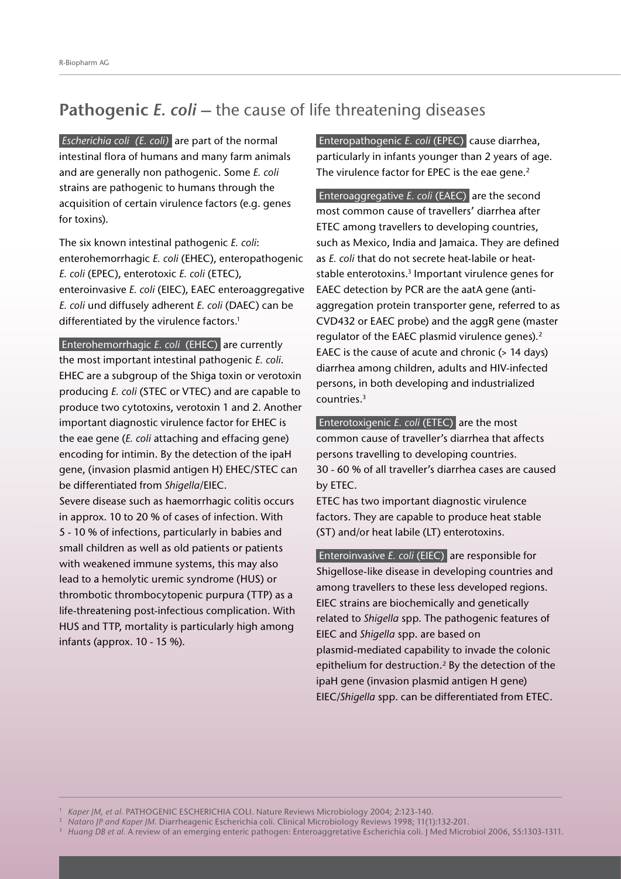### **Pathogenic** *E. coli* **–** the cause of life threatening diseases

*Escherichia coli (E. coli)* are part of the normal intestinal flora of humans and many farm animals and are generally non pathogenic. Some *E. coli* strains are pathogenic to humans through the acquisition of certain virulence factors (e.g. genes for toxins).

The six known intestinal pathogenic *E. coli*: enterohemorrhagic *E. coli* (EHEC), enteropathogenic *E. coli* (EPEC), enterotoxic *E. coli* (ETEC), enteroinvasive *E. coli* (EIEC), EAEC enteroaggregative *E. coli* und diffusely adherent *E. coli* (DAEC) can be differentiated by the virulence factors.<sup>1</sup>

 Enterohemorrhagic *E. coli* (EHEC) are currently the most important intestinal pathogenic *E. coli*. EHEC are a subgroup of the Shiga toxin or verotoxin producing *E. coli* (STEC or VTEC) and are capable to produce two cytotoxins, verotoxin 1 and 2. Another important diagnostic virulence factor for EHEC is the eae gene (*E. coli* attaching and effacing gene) encoding for intimin. By the detection of the ipaH gene, (invasion plasmid antigen H) EHEC/STEC can be differentiated from *Shigella*/EIEC.

Severe disease such as haemorrhagic colitis occurs in approx. 10 to 20 % of cases of infection. With 5 - 10 % of infections, particularly in babies and small children as well as old patients or patients with weakened immune systems, this may also lead to a hemolytic uremic syndrome (HUS) or thrombotic thrombocytopenic purpura (TTP) as a life-threatening post-infectious complication. With HUS and TTP, mortality is particularly high among infants (approx. 10 - 15 %).

 Enteropathogenic *E. coli* (EPEC) cause diarrhea, particularly in infants younger than 2 years of age. The virulence factor for EPEC is the eae gene.<sup>2</sup>

 Enteroaggregative *E. coli* (EAEC) are the second most common cause of travellers' diarrhea after ETEC among travellers to developing countries, such as Mexico, India and Jamaica. They are defined as *E. coli* that do not secrete heat-labile or heatstable enterotoxins.<sup>3</sup> Important virulence genes for EAEC detection by PCR are the aatA gene (antiaggregation protein transporter gene, referred to as CVD432 or EAEC probe) and the aggR gene (master regulator of the EAEC plasmid virulence genes).<sup>2</sup> EAEC is the cause of acute and chronic (> 14 days) diarrhea among children, adults and HIV-infected persons, in both developing and industrialized countries.3

 Enterotoxigenic *E. coli* (ETEC) are the most common cause of traveller's diarrhea that affects persons travelling to developing countries. 30 - 60 % of all traveller's diarrhea cases are caused by ETEC.

ETEC has two important diagnostic virulence factors. They are capable to produce heat stable (ST) and/or heat labile (LT) enterotoxins.

 Enteroinvasive *E. coli* (EIEC) are responsible for Shigellose-like disease in developing countries and among travellers to these less developed regions. EIEC strains are biochemically and genetically related to *Shigella* spp. The pathogenic features of EIEC and *Shigella* spp. are based on plasmid-mediated capability to invade the colonic epithelium for destruction.<sup>2</sup> By the detection of the ipaH gene (invasion plasmid antigen H gene) EIEC/*Shigella* spp. can be differentiated from ETEC.

<sup>1</sup> *Kaper JM, et al.* PATHOGENIC ESCHERICHIA COLI. Nature Reviews Microbiology 2004; 2:123-140.

<sup>&</sup>lt;sup>2</sup> Nataro JP and Kaper JM. Diarrheagenic Escherichia coli. Clinical Microbiology Reviews 1998; 11(1):132-201.

<sup>&</sup>lt;sup>3</sup> Huang DB et al. A review of an emerging enteric pathogen: Enteroaggretative Escherichia coli. J Med Microbiol 2006, 55:1303-1311.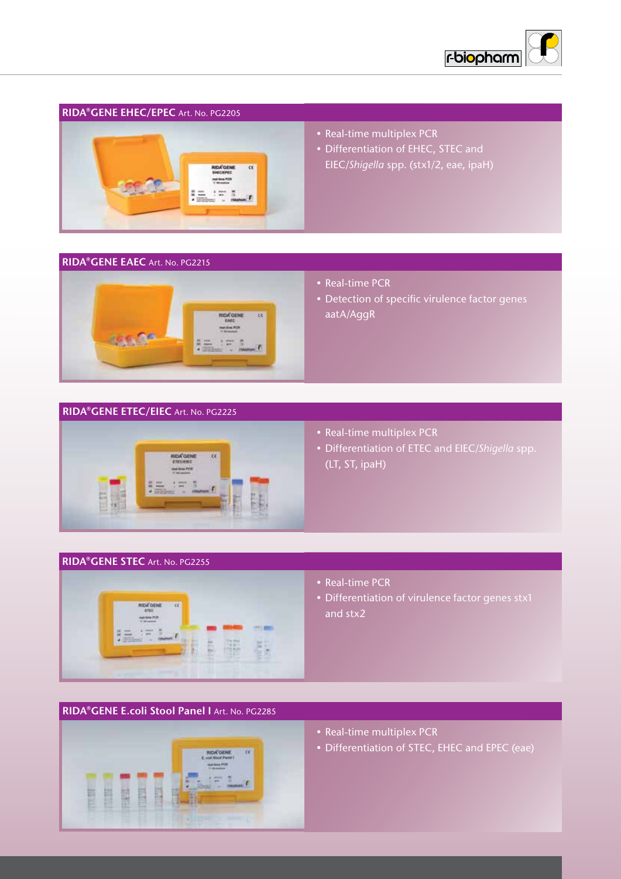

#### **RIDA®GENE EHEC/EPEC** Art. No. PG2205



#### • Real-time multiplex PCR

• Differentiation of EHEC, STEC and EIEC/*Shigella* spp. (stx1/2, eae, ipaH)

#### **RIDA®GENE EAEC** Art. No. PG2215



- Real-time PCR
- Detection of specific virulence factor genes aatA/AggR

#### **RIDA®GENE ETEC/EIEC** Art. No. PG2225



- Real-time multiplex PCR
- Differentiation of ETEC and EIEC/*Shigella* spp.  $(LT, ST, ipaH)$

### **RIDA®GENE STEC** Art. No. PG2255



- Real-time PCR
- and stx2 • Differentiation of virulence factor genes stx1

### **RIDA®GENE E.coli Stool Panel I** Art. No. PG2285



- Real-time multiplex PCR
- Differentiation of STEC, EHEC and EPEC (eae)